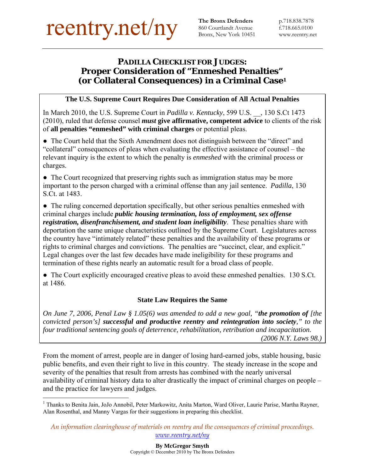860 Courtlandt Avenue Bronx, New York 10451

# *PADILLA* **CHECKLIST FOR JUDGES: Proper Consideration of "Enmeshed Penalties" (or Collateral Consequences) in a Criminal Case1**

# **The U.S. Supreme Court Requires Due Consideration of All Actual Penalties**

In March 2010, the U.S. Supreme Court in *Padilla v. Kentucky*, 599 U.S. \_\_, 130 S.Ct 1473 (2010), ruled that defense counsel *must* **give affirmative, competent advice** to clients of the risk of **all penalties "enmeshed" with criminal charges** or potential pleas.

• The Court held that the Sixth Amendment does not distinguish between the "direct" and "collateral" consequences of pleas when evaluating the effective assistance of counsel – the relevant inquiry is the extent to which the penalty is *enmeshed* with the criminal process or charges.

• The Court recognized that preserving rights such as immigration status may be more important to the person charged with a criminal offense than any jail sentence. *Padilla*, 130 S.Ct. at 1483.

• The ruling concerned deportation specifically, but other serious penalties enmeshed with criminal charges include *public housing termination, loss of employment, sex offense registration, disenfranchisement, and student loan ineligibility*. These penalties share with deportation the same unique characteristics outlined by the Supreme Court. Legislatures across the country have "intimately related" these penalties and the availability of these programs or rights to criminal charges and convictions. The penalties are "succinct, clear, and explicit." Legal changes over the last few decades have made ineligibility for these programs and termination of these rights nearly an automatic result for a broad class of people.

• The Court explicitly encouraged creative pleas to avoid these enmeshed penalties. 130 S.Ct. at 1486.

# **State Law Requires the Same**

*On June 7, 2006, Penal Law § 1.05(6) was amended to add a new goal, "the promotion of [the convicted person's] successful and productive reentry and reintegration into society," to the four traditional sentencing goals of deterrence, rehabilitation, retribution and incapacitation. (2006 N.Y. Laws 98.)* 

From the moment of arrest, people are in danger of losing hard-earned jobs, stable housing, basic public benefits, and even their right to live in this country. The steady increase in the scope and severity of the penalties that result from arrests has combined with the nearly universal availability of criminal history data to alter drastically the impact of criminal charges on people – and the practice for lawyers and judges.

 $\overline{a}$ <sup>1</sup> Thanks to Benita Jain, JoJo Annobil, Peter Markowitz, Anita Marton, Ward Oliver, Laurie Parise, Martha Rayner, Alan Rosenthal, and Manny Vargas for their suggestions in preparing this checklist.

*An information clearinghouse of materials on reentry and the consequences of criminal proceedings. www.reentry.net/ny*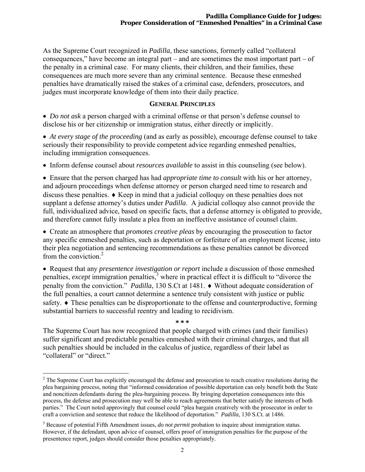As the Supreme Court recognized in *Padilla*, these sanctions, formerly called "collateral consequences," have become an integral part – and are sometimes the most important part – of the penalty in a criminal case. For many clients, their children, and their families, these consequences are much more severe than any criminal sentence. Because these enmeshed penalties have dramatically raised the stakes of a criminal case, defenders, prosecutors, and judges must incorporate knowledge of them into their daily practice.

# **GENERAL PRINCIPLES**

 *Do not ask* a person charged with a criminal offense or that person's defense counsel to disclose his or her citizenship or immigration status, either directly or implicitly.

 *At every stage of the proceeding* (and as early as possible), encourage defense counsel to take seriously their responsibility to provide competent advice regarding enmeshed penalties, including immigration consequences.

Inform defense counsel about *resources available* to assist in this counseling (see below).

 Ensure that the person charged has had *appropriate time to consult* with his or her attorney, and adjourn proceedings when defense attorney or person charged need time to research and discuss these penalties.  $\triangle$  Keep in mind that a judicial colloquy on these penalties does not supplant a defense attorney's duties under *Padilla*. A judicial colloquy also cannot provide the full, individualized advice, based on specific facts, that a defense attorney is obligated to provide, and therefore cannot fully insulate a plea from an ineffective assistance of counsel claim.

 Create an atmosphere that *promotes creative pleas* by encouraging the prosecution to factor any specific enmeshed penalties, such as deportation or forfeiture of an employment license, into their plea negotiation and sentencing recommendations as these penalties cannot be divorced from the conviction.2

 Request that any *presentence investigation or report* include a discussion of those enmeshed penalties, *except* immigration penalties,<sup>3</sup> where in practical effect it is difficult to "divorce the penalty from the conviction." *Padilla*, 130 S.Ct at 1481. ♦ Without adequate consideration of the full penalties, a court cannot determine a sentence truly consistent with justice or public safety.  $\bullet$  These penalties can be disproportionate to the offense and counterproductive, forming substantial barriers to successful reentry and leading to recidivism.

**\* \* \*** 

The Supreme Court has now recognized that people charged with crimes (and their families) suffer significant and predictable penalties enmeshed with their criminal charges, and that all such penalties should be included in the calculus of justice, regardless of their label as "collateral" or "direct."

1

 $2^2$  The Supreme Court has explicitly encouraged the defense and prosecution to reach creative resolutions during the plea bargaining process, noting that "informed consideration of possible deportation can only benefit both the State and noncitizen defendants during the plea-bargaining process. By bringing deportation consequences into this process, the defense and prosecution may well be able to reach agreements that better satisfy the interests of both parties." The Court noted approvingly that counsel could "plea bargain creatively with the prosecutor in order to craft a conviction and sentence that reduce the likelihood of deportation." *Padilla*, 130 S.Ct. at 1486.

<sup>&</sup>lt;sup>3</sup> Because of potential Fifth Amendment issues, *do not permit* probation to inquire about immigration status. However, if the defendant, upon advice of counsel, offers proof of immigration penalties for the purpose of the presentence report, judges should consider those penalties appropriately.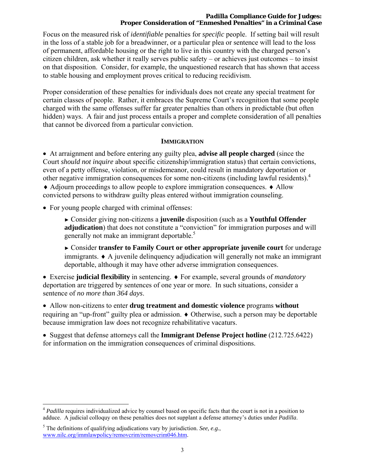#### *Padilla* **Compliance Guide for Judges: Proper Consideration of "Enmeshed Penalties" in a Criminal Case**

Focus on the measured risk of *identifiable* penalties for *specific* people. If setting bail will result in the loss of a stable job for a breadwinner, or a particular plea or sentence will lead to the loss of permanent, affordable housing or the right to live in this country with the charged person's citizen children, ask whether it really serves public safety – or achieves just outcomes – to insist on that disposition. Consider, for example, the unquestioned research that has shown that access to stable housing and employment proves critical to reducing recidivism.

Proper consideration of these penalties for individuals does not create any special treatment for certain classes of people. Rather, it embraces the Supreme Court's recognition that some people charged with the same offenses suffer far greater penalties than others in predictable (but often hidden) ways. A fair and just process entails a proper and complete consideration of all penalties that cannot be divorced from a particular conviction.

#### **IMMIGRATION**

 At arraignment and before entering any guilty plea, **advise all people charged** (since the Court *should not inquire* about specific citizenship/immigration status) that certain convictions, even of a petty offense, violation, or misdemeanor, could result in mandatory deportation or other negative immigration consequences for some non-citizens (including lawful residents).<sup>4</sup>  $\triangle$  Adjourn proceedings to allow people to explore immigration consequences.  $\triangle$  Allow convicted persons to withdraw guilty pleas entered without immigration counseling.

• For young people charged with criminal offenses:

► Consider giving non-citizens a **juvenile** disposition (such as a **Youthful Offender adjudication**) that does not constitute a "conviction" for immigration purposes and will generally not make an immigrant deportable.<sup>5</sup>

► Consider **transfer to Family Court or other appropriate juvenile court** for underage  $immi$  and  $\rightarrow$  A juvenile delinquency adjudication will generally not make an immigrant deportable, although it may have other adverse immigration consequences.

 Exercise **judicial flexibility** in sentencing. For example, several grounds of *mandatory* deportation are triggered by sentences of one year or more. In such situations, consider a sentence of *no more than 364 days*.

 Allow non-citizens to enter **drug treatment and domestic violence** programs **without** requiring an "up-front" guilty plea or admission.  $\bullet$  Otherwise, such a person may be deportable because immigration law does not recognize rehabilitative vacaturs.

 Suggest that defense attorneys call the **Immigrant Defense Project hotline** (212.725.6422) for information on the immigration consequences of criminal dispositions.

1

<sup>&</sup>lt;sup>4</sup> Padilla requires individualized advice by counsel based on specific facts that the court is not in a position to adduce. A judicial colloquy on these penalties does not supplant a defense attorney's duties under *Padilla*.

<sup>5</sup> The definitions of qualifying adjudications vary by jurisdiction. *See, e.g.*, www.nilc.org/immlawpolicy/removcrim/removcrim046.htm.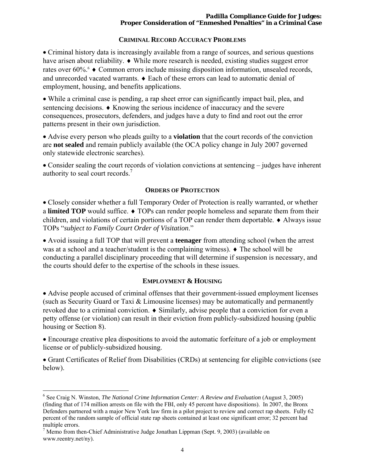#### *Padilla* **Compliance Guide for Judges: Proper Consideration of "Enmeshed Penalties" in a Criminal Case**

## **CRIMINAL RECORD ACCURACY PROBLEMS**

 Criminal history data is increasingly available from a range of sources, and serious questions have arisen about reliability.  $\bullet$  While more research is needed, existing studies suggest error rates over  $60\%$ <sup>6</sup>  $\bullet$  Common errors include missing disposition information, unsealed records, and unrecorded vacated warrants.  $\bullet$  Each of these errors can lead to automatic denial of employment, housing, and benefits applications.

 While a criminal case is pending, a rap sheet error can significantly impact bail, plea, and sentencing decisions.  $\triangle$  Knowing the serious incidence of inaccuracy and the severe consequences, prosecutors, defenders, and judges have a duty to find and root out the error patterns present in their own jurisdiction.

 Advise every person who pleads guilty to a **violation** that the court records of the conviction are **not sealed** and remain publicly available (the OCA policy change in July 2007 governed only statewide electronic searches).

 Consider sealing the court records of violation convictions at sentencing – judges have inherent authority to seal court records.7

## **ORDERS OF PROTECTION**

• Closely consider whether a full Temporary Order of Protection is really warranted, or whether a **limited TOP** would suffice.  $\bullet$  TOPs can render people homeless and separate them from their children, and violations of certain portions of a TOP can render them deportable.  $\triangle$  Always issue TOPs "*subject to Family Court Order of Visitation*."

 Avoid issuing a full TOP that will prevent a **teenager** from attending school (when the arrest was at a school and a teacher/student is the complaining witness).  $\blacklozenge$  The school will be conducting a parallel disciplinary proceeding that will determine if suspension is necessary, and the courts should defer to the expertise of the schools in these issues.

# **EMPLOYMENT & HOUSING**

 Advise people accused of criminal offenses that their government-issued employment licenses (such as Security Guard or Taxi & Limousine licenses) may be automatically and permanently revoked due to a criminal conviction.  $\bullet$  Similarly, advise people that a conviction for even a petty offense (or violation) can result in their eviction from publicly-subsidized housing (public housing or Section 8).

 Encourage creative plea dispositions to avoid the automatic forfeiture of a job or employment license or of publicly-subsidized housing.

 Grant Certificates of Relief from Disabilities (CRDs) at sentencing for eligible convictions (see below).

 $\overline{a}$ <sup>6</sup> See Craig N. Winston, *The National Crime Information Center: A Review and Evaluation* (August 3, 2005) (finding that of 174 million arrests on file with the FBI, only 45 percent have dispositions). In 2007, the Bronx Defenders partnered with a major New York law firm in a pilot project to review and correct rap sheets. Fully 62 percent of the random sample of official state rap sheets contained at least one significant error; 32 percent had multiple errors.

 $7$  Memo from then-Chief Administrative Judge Jonathan Lippman (Sept. 9, 2003) (available on www.reentry.net/ny).